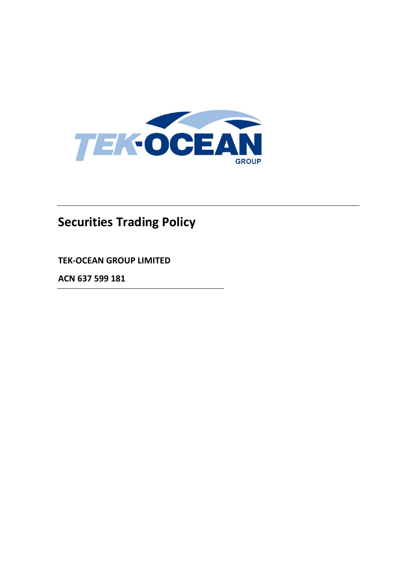

# **Securities Trading Policy**

**TEK-OCEAN GROUP LIMITED**

**ACN 637 599 181**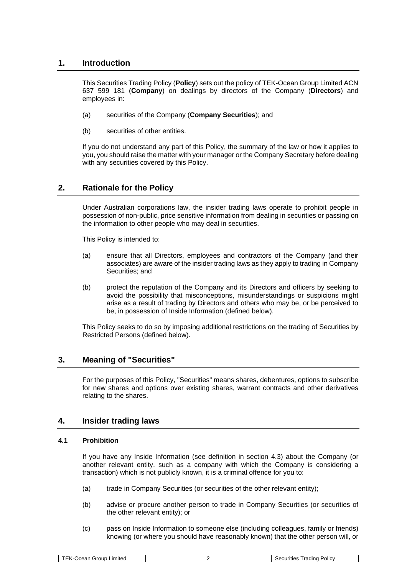# **1. Introduction**

This Securities Trading Policy (**Policy**) sets out the policy of TEK-Ocean Group Limited ACN 637 599 181 (**Company**) on dealings by directors of the Company (**Directors**) and employees in:

- (a) securities of the Company (**Company Securities**); and
- (b) securities of other entities.

If you do not understand any part of this Policy, the summary of the law or how it applies to you, you should raise the matter with your manager or the Company Secretary before dealing with any securities covered by this Policy.

# **2. Rationale for the Policy**

Under Australian corporations law, the insider trading laws operate to prohibit people in possession of non-public, price sensitive information from dealing in securities or passing on the information to other people who may deal in securities.

This Policy is intended to:

- (a) ensure that all Directors, employees and contractors of the Company (and their associates) are aware of the insider trading laws as they apply to trading in Company Securities; and
- (b) protect the reputation of the Company and its Directors and officers by seeking to avoid the possibility that misconceptions, misunderstandings or suspicions might arise as a result of trading by Directors and others who may be, or be perceived to be, in possession of Inside Information (defined below).

This Policy seeks to do so by imposing additional restrictions on the trading of Securities by Restricted Persons (defined below).

## **3. Meaning of "Securities"**

For the purposes of this Policy, "Securities" means shares, debentures, options to subscribe for new shares and options over existing shares, warrant contracts and other derivatives relating to the shares.

## **4. Insider trading laws**

#### <span id="page-1-0"></span>**4.1 Prohibition**

If you have any Inside Information (see definition in section [4.3\)](#page-2-0) about the Company (or another relevant entity, such as a company with which the Company is considering a transaction) which is not publicly known, it is a criminal offence for you to:

- (a) trade in Company Securities (or securities of the other relevant entity);
- (b) advise or procure another person to trade in Company Securities (or securities of the other relevant entity); or
- (c) pass on Inside Information to someone else (including colleagues, family or friends) knowing (or where you should have reasonably known) that the other person will, or

| --<br>$\sim$<br>_ımıted<br>dinc<br>olic <sup>y</sup><br><br><br>$\sim$<br>-<br>эгонс<br>--<br> |
|------------------------------------------------------------------------------------------------|
|------------------------------------------------------------------------------------------------|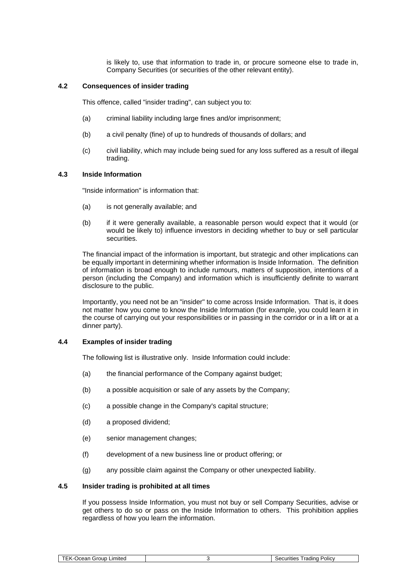is likely to, use that information to trade in, or procure someone else to trade in, Company Securities (or securities of the other relevant entity).

#### **4.2 Consequences of insider trading**

This offence, called "insider trading", can subject you to:

- (a) criminal liability including large fines and/or imprisonment;
- (b) a civil penalty (fine) of up to hundreds of thousands of dollars; and
- (c) civil liability, which may include being sued for any loss suffered as a result of illegal trading.

#### <span id="page-2-0"></span>**4.3 Inside Information**

"Inside information" is information that:

- (a) is not generally available; and
- (b) if it were generally available, a reasonable person would expect that it would (or would be likely to) influence investors in deciding whether to buy or sell particular securities.

The financial impact of the information is important, but strategic and other implications can be equally important in determining whether information is Inside Information. The definition of information is broad enough to include rumours, matters of supposition, intentions of a person (including the Company) and information which is insufficiently definite to warrant disclosure to the public.

Importantly, you need not be an "insider" to come across Inside Information. That is, it does not matter how you come to know the Inside Information (for example, you could learn it in the course of carrying out your responsibilities or in passing in the corridor or in a lift or at a dinner party).

#### **4.4 Examples of insider trading**

The following list is illustrative only. Inside Information could include:

- (a) the financial performance of the Company against budget;
- (b) a possible acquisition or sale of any assets by the Company;
- (c) a possible change in the Company's capital structure;
- (d) a proposed dividend;
- (e) senior management changes;
- (f) development of a new business line or product offering; or
- (g) any possible claim against the Company or other unexpected liability.

#### **4.5 Insider trading is prohibited at all times**

If you possess Inside Information, you must not buy or sell Company Securities, advise or get others to do so or pass on the Inside Information to others. This prohibition applies regardless of how you learn the information.

| roupخ<br>---<br>-imited<br>י ה<br>еан<br>. . |  | $\sim$ $-$<br><b>Policy</b><br><br>radınc<br>$\sim$ $\sim$ |
|----------------------------------------------|--|------------------------------------------------------------|
|----------------------------------------------|--|------------------------------------------------------------|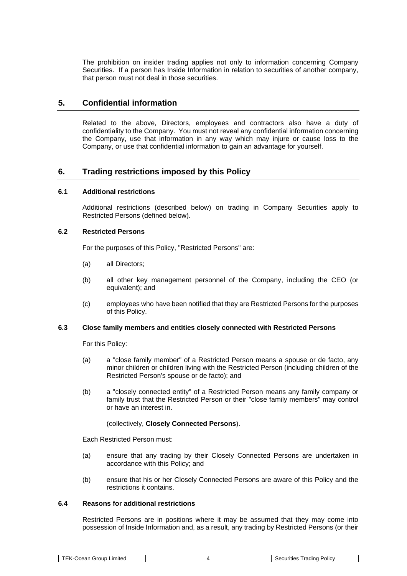The prohibition on insider trading applies not only to information concerning Company Securities. If a person has Inside Information in relation to securities of another company, that person must not deal in those securities.

# **5. Confidential information**

Related to the above, Directors, employees and contractors also have a duty of confidentiality to the Company. You must not reveal any confidential information concerning the Company, use that information in any way which may injure or cause loss to the Company, or use that confidential information to gain an advantage for yourself.

## **6. Trading restrictions imposed by this Policy**

## **6.1 Additional restrictions**

Additional restrictions (described below) on trading in Company Securities apply to Restricted Persons (defined below).

#### **6.2 Restricted Persons**

For the purposes of this Policy, "Restricted Persons" are:

- (a) all Directors;
- (b) all other key management personnel of the Company, including the CEO (or equivalent); and
- (c) employees who have been notified that they are Restricted Persons for the purposes of this Policy.

#### **6.3 Close family members and entities closely connected with Restricted Persons**

For this Policy:

- (a) a "close family member" of a Restricted Person means a spouse or de facto, any minor children or children living with the Restricted Person (including children of the Restricted Person's spouse or de facto); and
- (b) a "closely connected entity" of a Restricted Person means any family company or family trust that the Restricted Person or their "close family members" may control or have an interest in.

#### (collectively, **Closely Connected Persons**).

Each Restricted Person must:

- (a) ensure that any trading by their Closely Connected Persons are undertaken in accordance with this Policy; and
- (b) ensure that his or her Closely Connected Persons are aware of this Policy and the restrictions it contains.

#### **6.4 Reasons for additional restrictions**

Restricted Persons are in positions where it may be assumed that they may come into possession of Inside Information and, as a result, any trading by Restricted Persons (or their

| .ımıtea<br><br>$\sim$<br>$\sim$ | $\sim$<br>Policy<br>.<br>--<br>$\sim$<br>radinu |
|---------------------------------|-------------------------------------------------|
|---------------------------------|-------------------------------------------------|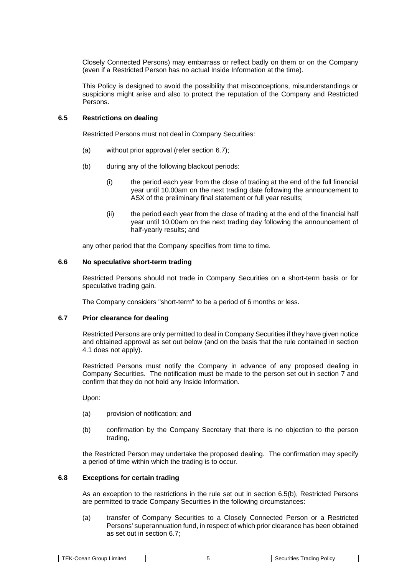Closely Connected Persons) may embarrass or reflect badly on them or on the Company (even if a Restricted Person has no actual Inside Information at the time).

This Policy is designed to avoid the possibility that misconceptions, misunderstandings or suspicions might arise and also to protect the reputation of the Company and Restricted Persons.

#### <span id="page-4-1"></span>**6.5 Restrictions on dealing**

Restricted Persons must not deal in Company Securities:

- <span id="page-4-2"></span>(a) without prior approval (refer section [6.7\)](#page-4-0);
- (b) during any of the following blackout periods:
	- (i) the period each year from the close of trading at the end of the full financial year until 10.00am on the next trading date following the announcement to ASX of the preliminary final statement or full year results;
	- (ii) the period each year from the close of trading at the end of the financial half year until 10.00am on the next trading day following the announcement of half-yearly results; and

any other period that the Company specifies from time to time.

#### <span id="page-4-4"></span>**6.6 No speculative short-term trading**

Restricted Persons should not trade in Company Securities on a short-term basis or for speculative trading gain.

The Company considers "short-term" to be a period of 6 months or less.

## <span id="page-4-0"></span>**6.7 Prior clearance for dealing**

Restricted Persons are only permitted to deal in Company Securities if they have given notice and obtained approval as set out below (and on the basis that the rule contained in section [4.1](#page-1-0) does not apply).

Restricted Persons must notify the Company in advance of any proposed dealing in Company Securities. The notification must be made to the person set out in section [7](#page-6-0) and confirm that they do not hold any Inside Information.

Upon:

- (a) provision of notification; and
- (b) confirmation by the Company Secretary that there is no objection to the person trading,

the Restricted Person may undertake the proposed dealing. The confirmation may specify a period of time within which the trading is to occur.

#### <span id="page-4-3"></span>**6.8 Exceptions for certain trading**

As an exception to the restrictions in the rule set out in section [6.5](#page-4-1)[\(b\),](#page-4-2) Restricted Persons are permitted to trade Company Securities in the following circumstances:

(a) transfer of Company Securities to a Closely Connected Person or a Restricted Persons' superannuation fund, in respect of which prior clearance has been obtained as set out in section [6.7;](#page-4-0)

| 211 I C<br>-11 | .ımıted<br>erour<br>--- |  | $I$ roding<br>.<br>olic. |
|----------------|-------------------------|--|--------------------------|
|----------------|-------------------------|--|--------------------------|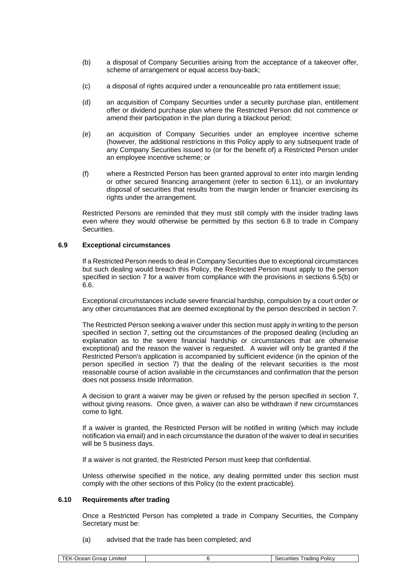- (b) a disposal of Company Securities arising from the acceptance of a takeover offer, scheme of arrangement or equal access buy-back;
- (c) a disposal of rights acquired under a renounceable pro rata entitlement issue;
- (d) an acquisition of Company Securities under a security purchase plan, entitlement offer or dividend purchase plan where the Restricted Person did not commence or amend their participation in the plan during a blackout period;
- (e) an acquisition of Company Securities under an employee incentive scheme (however, the additional restrictions in this Policy apply to any subsequent trade of any Company Securities issued to (or for the benefit of) a Restricted Person under an employee incentive scheme; or
- (f) where a Restricted Person has been granted approval to enter into margin lending or other secured financing arrangement (refer to section [6.11\)](#page-6-1), or an involuntary disposal of securities that results from the margin lender or financier exercising its rights under the arrangement.

Restricted Persons are reminded that they must still comply with the insider trading laws even where they would otherwise be permitted by this section [6.8](#page-4-3) to trade in Company Securities.

## **6.9 Exceptional circumstances**

If a Restricted Person needs to deal in Company Securities due to exceptional circumstances but such dealing would breach this Policy, the Restricted Person must apply to the person specified in section [7](#page-6-0) for a waiver from compliance with the provisions in sections [6.5](#page-4-1)[\(b\)](#page-4-2) or [6.6.](#page-4-4)

Exceptional circumstances include severe financial hardship, compulsion by a court order or any other circumstances that are deemed exceptional by the person described in section 7.

The Restricted Person seeking a waiver under this section must apply in writing to the person specified in section [7,](#page-6-0) setting out the circumstances of the proposed dealing (including an explanation as to the severe financial hardship or circumstances that are otherwise exceptional) and the reason the waiver is requested. A wavier will only be granted if the Restricted Person's application is accompanied by sufficient evidence (in the opinion of the person specified in section [7\)](#page-6-0) that the dealing of the relevant securities is the most reasonable course of action available in the circumstances and confirmation that the person does not possess Inside Information.

A decision to grant a waiver may be given or refused by the person specified in section [7,](#page-6-0) without giving reasons. Once given, a waiver can also be withdrawn if new circumstances come to light.

If a waiver is granted, the Restricted Person will be notified in writing (which may include notification via email) and in each circumstance the duration of the waiver to deal in securities will be 5 business days.

If a waiver is not granted, the Restricted Person must keep that confidential.

Unless otherwise specified in the notice, any dealing permitted under this section must comply with the other sections of this Policy (to the extent practicable).

#### **6.10 Requirements after trading**

Once a Restricted Person has completed a trade in Company Securities, the Company Secretary must be:

(a) advised that the trade has been completed; and

| radın<br>sroup<br><b>Imited</b><br>Polic\<br><b>.</b> . .<br>$\sim$<br>nues<br>'IС<br>ucai<br>. |
|-------------------------------------------------------------------------------------------------|
|-------------------------------------------------------------------------------------------------|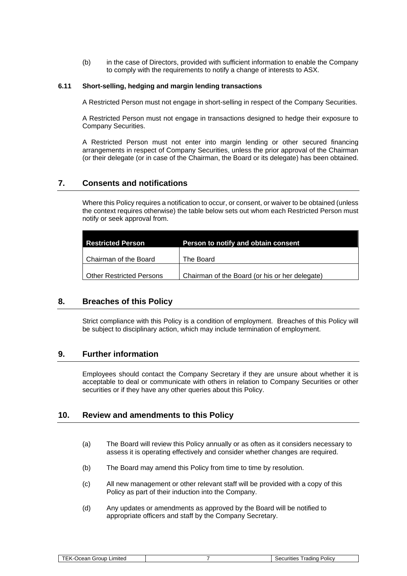(b) in the case of Directors, provided with sufficient information to enable the Company to comply with the requirements to notify a change of interests to ASX.

#### <span id="page-6-1"></span>**6.11 Short-selling, hedging and margin lending transactions**

A Restricted Person must not engage in short-selling in respect of the Company Securities.

A Restricted Person must not engage in transactions designed to hedge their exposure to Company Securities.

A Restricted Person must not enter into margin lending or other secured financing arrangements in respect of Company Securities, unless the prior approval of the Chairman (or their delegate (or in case of the Chairman, the Board or its delegate) has been obtained.

## <span id="page-6-0"></span>**7. Consents and notifications**

Where this Policy requires a notification to occur, or consent, or waiver to be obtained (unless the context requires otherwise) the table below sets out whom each Restricted Person must notify or seek approval from.

| <b>Restricted Person</b>        | Person to notify and obtain consent            |
|---------------------------------|------------------------------------------------|
| Chairman of the Board           | The Board                                      |
| <b>Other Restricted Persons</b> | Chairman of the Board (or his or her delegate) |

# **8. Breaches of this Policy**

Strict compliance with this Policy is a condition of employment. Breaches of this Policy will be subject to disciplinary action, which may include termination of employment.

# **9. Further information**

Employees should contact the Company Secretary if they are unsure about whether it is acceptable to deal or communicate with others in relation to Company Securities or other securities or if they have any other queries about this Policy.

# **10. Review and amendments to this Policy**

- (a) The Board will review this Policy annually or as often as it considers necessary to assess it is operating effectively and consider whether changes are required.
- (b) The Board may amend this Policy from time to time by resolution.
- (c) All new management or other relevant staff will be provided with a copy of this Policy as part of their induction into the Company.
- (d) Any updates or amendments as approved by the Board will be notified to appropriate officers and staff by the Company Secretary.

| --<br>Brour<br>mitec<br>$\sim$<br>11 J H<br>-11<br>-21 | rading<br>. .<br>olic <sup>,</sup><br>$-\Delta$<br>urities<br>. .<br>יי |
|--------------------------------------------------------|-------------------------------------------------------------------------|